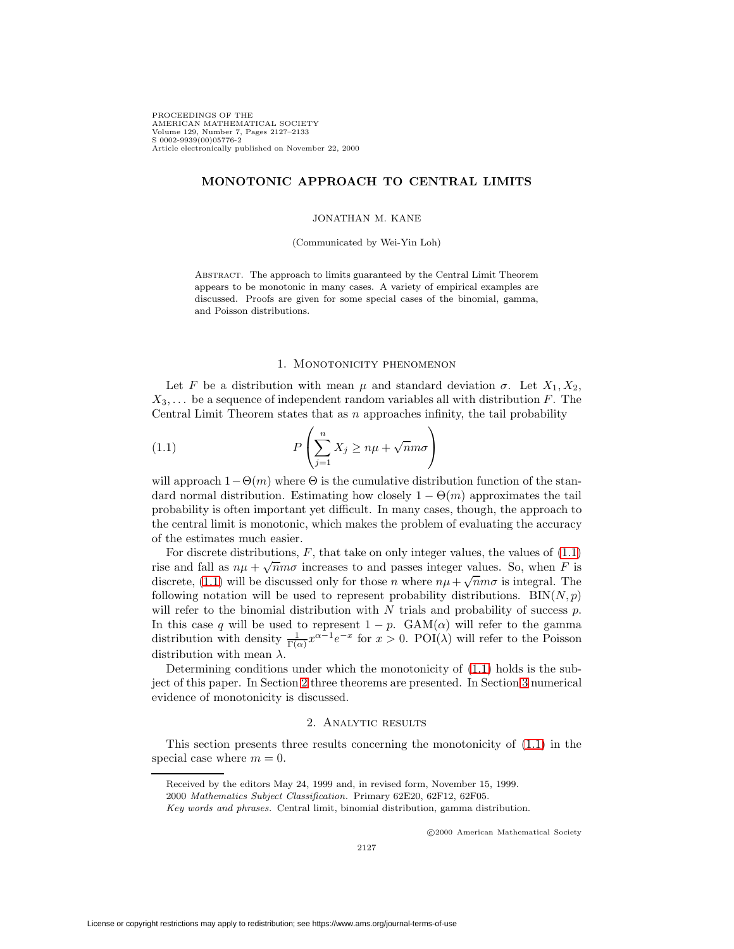PROCEEDINGS OF THE AMERICAN MATHEMATICAL SOCIETY Volume 129, Number 7, Pages 2127–2133 S 0002-9939(00)05776-2 Article electronically published on November 22, 2000

# **MONOTONIC APPROACH TO CENTRAL LIMITS**

### JONATHAN M. KANE

(Communicated by Wei-Yin Loh)

Abstract. The approach to limits guaranteed by the Central Limit Theorem appears to be monotonic in many cases. A variety of empirical examples are discussed. Proofs are given for some special cases of the binomial, gamma, and Poisson distributions.

# 1. Monotonicity phenomenon

Let F be a distribution with mean  $\mu$  and standard deviation  $\sigma$ . Let  $X_1, X_2,$  $X_3,\ldots$  be a sequence of independent random variables all with distribution F. The Central Limit Theorem states that as  $n$  approaches infinity, the tail probability

<span id="page-0-0"></span>(1.1) 
$$
P\left(\sum_{j=1}^{n} X_j \ge n\mu + \sqrt{n}m\sigma\right)
$$

will approach  $1-\Theta(m)$  where  $\Theta$  is the cumulative distribution function of the standard normal distribution. Estimating how closely  $1 - \Theta(m)$  approximates the tail probability is often important yet difficult. In many cases, though, the approach to the central limit is monotonic, which makes the problem of evaluating the accuracy of the estimates much easier.

For discrete distributions,  $F$ , that take on only integer values, the values of  $(1.1)$ rise and fall as  $n\mu + \sqrt{n}m\sigma$  increases to and passes integer values. So, when F is discrete, [\(1.1\)](#page-0-0) will be discussed only for those n where  $nu + \sqrt{nm}\sigma$  is integral. The following notation will be used to represent probability distributions.  $BIN(N, p)$ will refer to the binomial distribution with  $N$  trials and probability of success  $p$ . In this case q will be used to represent  $1 - p$ . GAM( $\alpha$ ) will refer to the gamma distribution with density  $\frac{1}{\Gamma(\alpha)}x^{\alpha-1}e^{-x}$  for  $x > 0$ . POI( $\lambda$ ) will refer to the Poisson distribution with mean  $\lambda$ .

Determining conditions under which the monotonicity of [\(1.1\)](#page-0-0) holds is the subject of this paper. In Section [2](#page-0-1) three theorems are presented. In Section [3](#page-4-0) numerical evidence of monotonicity is discussed.

# 2. Analytic results

<span id="page-0-2"></span><span id="page-0-1"></span>This section presents three results concerning the monotonicity of [\(1.1\)](#page-0-0) in the special case where  $m = 0$ .

c 2000 American Mathematical Society

Received by the editors May 24, 1999 and, in revised form, November 15, 1999.

<sup>2000</sup> Mathematics Subject Classification. Primary 62E20, 62F12, 62F05.

Key words and phrases. Central limit, binomial distribution, gamma distribution.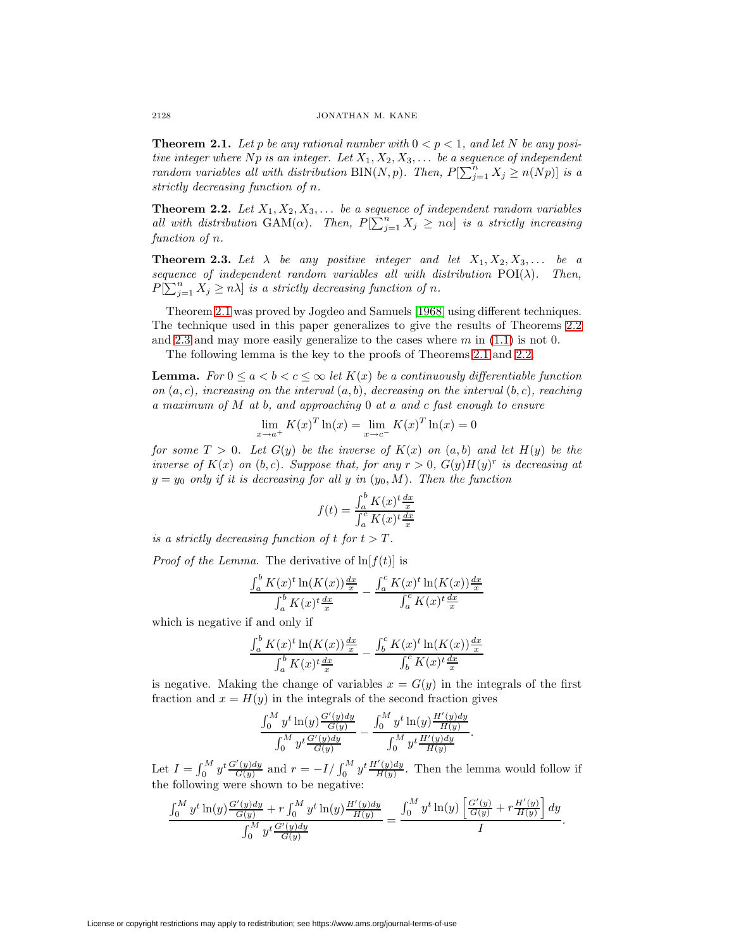**Theorem 2.1.** Let p be any rational number with  $0 < p < 1$ , and let N be any positive integer where Np is an integer. Let  $X_1, X_2, X_3, \ldots$  be a sequence of independent random variables all with distribution BIN(N, p). Then,  $P[\sum_{j=1}^{n} X_j \ge n(Np)]$  is a strictly decreasing function of n.

<span id="page-1-0"></span>**Theorem 2.2.** Let  $X_1, X_2, X_3, \ldots$  be a sequence of independent random variables all with distribution GAM( $\alpha$ ). Then,  $P[\sum_{j=1}^{n} X_j \geq n\alpha]$  is a strictly increasing function of  $n$ .

<span id="page-1-1"></span>**Theorem 2.3.** Let  $\lambda$  be any positive integer and let  $X_1, X_2, X_3, \ldots$  be a sequence of independent random variables all with distribution  $POI(\lambda)$ . Then,  $P[\sum_{j=1}^{n} X_j \geq n\lambda]$  is a strictly decreasing function of n.

Theorem [2.1](#page-0-2) was proved by Jogdeo and Samuels [\[1968\]](#page-6-0) using different techniques. The technique used in this paper generalizes to give the results of Theorems [2.2](#page-1-0) and [2.3](#page-1-1) and may more easily generalize to the cases where  $m$  in [\(1.1\)](#page-0-0) is not 0.

The following lemma is the key to the proofs of Theorems [2.1](#page-0-2) and [2.2.](#page-1-0)

**Lemma.** For  $0 \le a < b < c \le \infty$  let  $K(x)$  be a continuously differentiable function on  $(a, c)$ , increasing on the interval  $(a, b)$ , decreasing on the interval  $(b, c)$ , reaching a maximum of M at b, and approaching 0 at a and c fast enough to ensure

$$
\lim_{x \to a^{+}} K(x)^{T} \ln(x) = \lim_{x \to c^{-}} K(x)^{T} \ln(x) = 0
$$

for some  $T > 0$ . Let  $G(y)$  be the inverse of  $K(x)$  on  $(a, b)$  and let  $H(y)$  be the inverse of  $K(x)$  on  $(b, c)$ . Suppose that, for any  $r > 0$ ,  $G(y)H(y)^r$  is decreasing at  $y = y_0$  only if it is decreasing for all y in  $(y_0, M)$ . Then the function

$$
f(t) = \frac{\int_a^b K(x)^t \frac{dx}{x}}{\int_a^c K(x)^t \frac{dx}{x}}
$$

is a strictly decreasing function of t for  $t > T$ .

*Proof of the Lemma.* The derivative of  $\ln[f(t)]$  is

$$
\frac{\int_a^b K(x)^t \ln(K(x))\frac{dx}{x}}{\int_a^b K(x)^t \frac{dx}{x}} - \frac{\int_a^c K(x)^t \ln(K(x))\frac{dx}{x}}{\int_a^c K(x)^t \frac{dx}{x}}
$$

which is negative if and only if

$$
\frac{\int_a^b K(x)^t \ln(K(x))\frac{dx}{x}}{\int_a^b K(x)^t \frac{dx}{x}} - \frac{\int_b^c K(x)^t \ln(K(x))\frac{dx}{x}}{\int_b^c K(x)^t \frac{dx}{x}}
$$

is negative. Making the change of variables  $x = G(y)$  in the integrals of the first fraction and  $x = H(y)$  in the integrals of the second fraction gives

$$
\frac{\int_0^M y^t \ln(y) \frac{G'(y)dy}{G(y)}}{\int_0^M y^t \frac{G'(y)dy}{G(y)}} - \frac{\int_0^M y^t \ln(y) \frac{H'(y)dy}{H(y)}}{\int_0^M y^t \frac{H'(y)dy}{H(y)}}.
$$

Let  $I = \int_0^M y^t \frac{G'(y)dy}{G(y)}$  and  $r = -I/\int_0^M y^t \frac{H'(y)dy}{H(y)}$ . Then the lemma would follow if the following were shown to be negative:

$$
\frac{\int_0^M y^t \ln(y) \frac{G'(y)dy}{G(y)} + r \int_0^M y^t \ln(y) \frac{H'(y)dy}{H(y)}}{\int_0^M y^t \frac{G'(y)dy}{G(y)}} = \frac{\int_0^M y^t \ln(y) \left[ \frac{G'(y)}{G(y)} + r \frac{H'(y)}{H(y)} \right] dy}{I}.
$$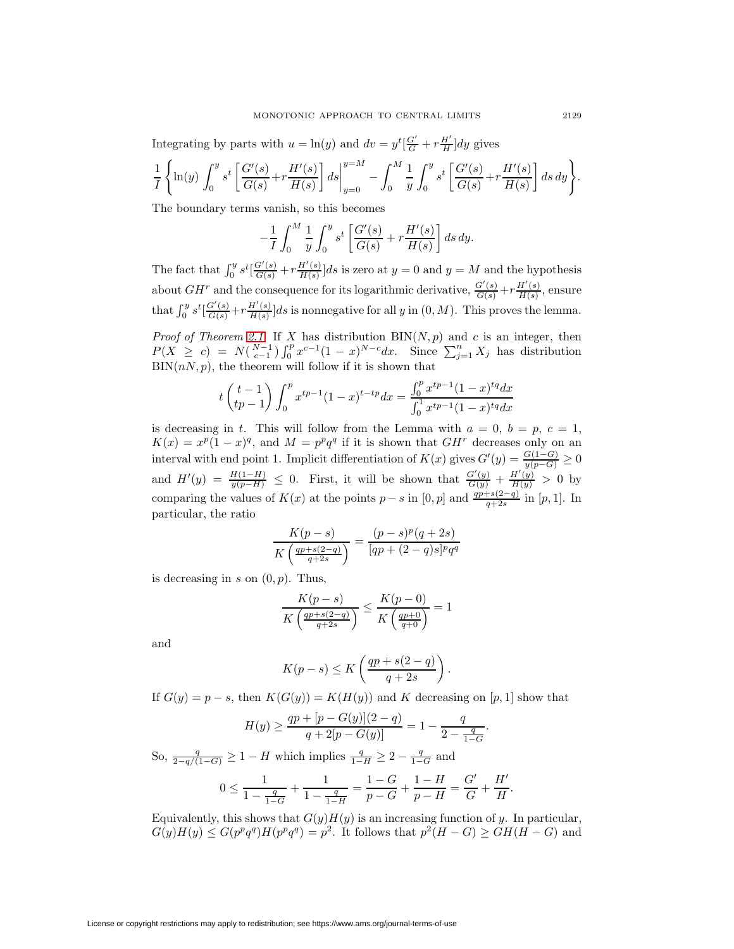Integrating by parts with  $u = \ln(y)$  and  $dv = y^t \left[\frac{G'}{G} + r\frac{H'}{H}\right] dy$  gives

$$
\frac{1}{I} \left\{ \ln(y) \int_0^y s^t \left[ \frac{G'(s)}{G(s)} + r \frac{H'(s)}{H(s)} \right] ds \Big|_{y=0}^{y=M} - \int_0^M \frac{1}{y} \int_0^y s^t \left[ \frac{G'(s)}{G(s)} + r \frac{H'(s)}{H(s)} \right] ds dy \right\}.
$$

The boundary terms vanish, so this becomes

$$
-\frac{1}{I}\int_0^M \frac{1}{y}\int_0^y s^t \left[\frac{G'(s)}{G(s)} + r\frac{H'(s)}{H(s)}\right] ds dy.
$$

The fact that  $\int_0^y s^t \left[ \frac{G'(s)}{G(s)} + r \frac{H'(s)}{H(s)} \right] ds$  is zero at  $y = 0$  and  $y = M$  and the hypothesis about  $GH^r$  and the consequence for its logarithmic derivative,  $\frac{G'(s)}{G(s)} + r \frac{H'(s)}{H(s)}$ , ensure that  $\int_0^y s^t \left[ \frac{G'(s)}{G(s)} + r \frac{H'(s)}{H(s)} \right] ds$  is nonnegative for all y in  $(0, M)$ . This proves the lemma.

*Proof of Theorem [2.1.](#page-0-2)* If X has distribution  $\text{BIN}(N, p)$  and c is an integer, then  $P(X \ge c) = N(\binom{N-1}{c-1}) \int_0^p x^{c-1} (1-x)^{N-c} dx$ . Since  $\sum_{j=1}^n X_j$  has distribution  $\text{BIN}(n, p)$ , the theorem will follow if it is shown that

$$
t\begin{pmatrix}t-1\\tp-1\end{pmatrix}\int_0^p x^{tp-1}(1-x)^{t-tp}dx = \frac{\int_0^px^{tp-1}(1-x)^{tq}dx}{\int_0^1x^{tp-1}(1-x)^{tq}dx}
$$

is decreasing in t. This will follow from the Lemma with  $a = 0, b = p, c = 1$ ,  $K(x) = x^p(1-x)^q$ , and  $M = p^pq^q$  if it is shown that  $GH^r$  decreases only on an interval with end point 1. Implicit differentiation of  $K(x)$  gives  $G'(y) = \frac{G(1-G)}{y(p-G)} \ge 0$ and  $H'(y) = \frac{H(1-H)}{y(p-H)} \leq 0$ . First, it will be shown that  $\frac{G'(y)}{G(y)} + \frac{H'(y)}{H(y)} > 0$  by comparing the values of  $K(x)$  at the points  $p - s$  in [0, p] and  $\frac{qp+s(2-q)}{q+2s}$  in [p, 1]. In particular, the ratio

$$
\frac{K(p-s)}{K\left(\frac{qp+s(2-q)}{q+2s}\right)} = \frac{(p-s)^p(q+2s)}{[qp+(2-q)s]^pq^q}
$$

is decreasing in s on  $(0, p)$ . Thus,

$$
\frac{K(p-s)}{K\left(\frac{qp+s(2-q)}{q+2s}\right)} \le \frac{K(p-0)}{K\left(\frac{qp+0}{q+0}\right)} = 1
$$

and

$$
K(p-s) \le K\left(\frac{qp+s(2-q)}{q+2s}\right).
$$

If  $G(y) = p - s$ , then  $K(G(y)) = K(H(y))$  and K decreasing on [p, 1] show that

$$
H(y) \ge \frac{qp + [p - G(y)](2 - q)}{q + 2[p - G(y)]} = 1 - \frac{q}{2 - \frac{q}{1 - G}}.
$$

So,  $\frac{q}{2-q/(1-G)} \geq 1 - H$  which implies  $\frac{q}{1-H} \geq 2 - \frac{q}{1-G}$  and  $0 \le \frac{1}{1 - 1}$  $1 - \frac{q}{1 - G}$  $+\frac{1}{1}$  $1 - \frac{q}{1 - H}$  $=\frac{1-G}{p-G}+\frac{1-H}{p-H}=\frac{G'}{G}+\frac{H'}{H}.$ 

Equivalently, this shows that  $G(y)H(y)$  is an increasing function of y. In particular,  $G(y)H(y) \leq G(p^pq^q)H(p^pq^q) = p^2$ . It follows that  $p^2(H-G) \geq GH(H-G)$  and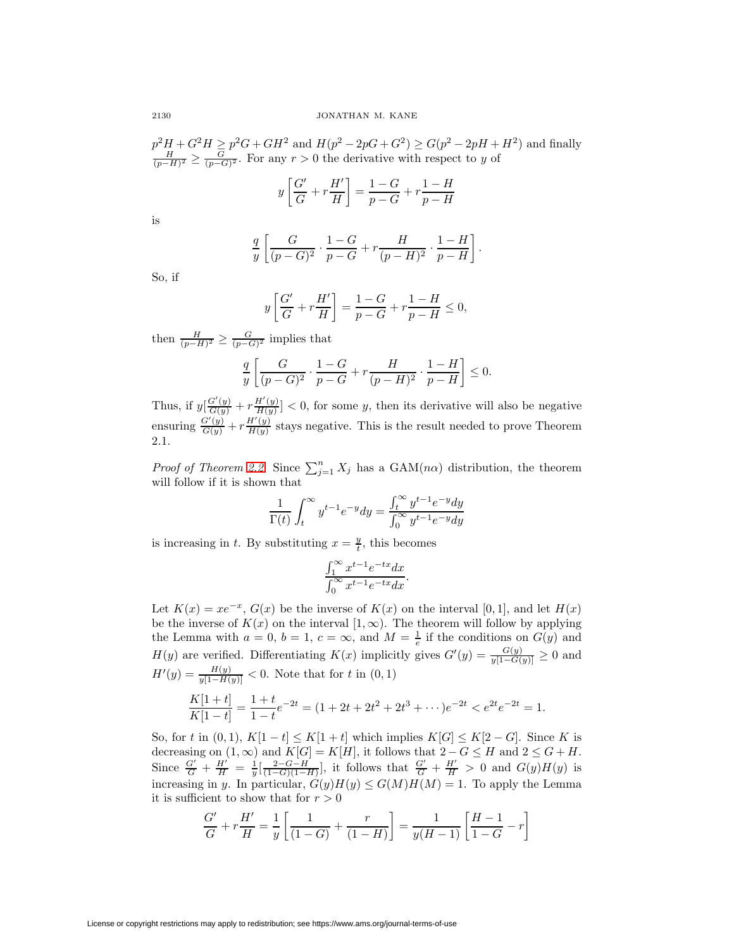$p^2H + G^2H \geq p^2G + GH^2$  and  $H(p^2 - 2pG + G^2) \geq G(p^2 - 2pH + H^2)$  and finally  $\frac{H}{(p-H)^2} \geq \frac{G}{(p-G)^2}$ . For any  $r > 0$  the derivative with respect to y of

$$
y\left[\frac{G'}{G} + r\frac{H'}{H}\right] = \frac{1-G}{p-G} + r\frac{1-H}{p-H}
$$

is

$$
\frac{q}{y}\left[\frac{G}{(p-G)^2}\cdot\frac{1-G}{p-G} + r\frac{H}{(p-H)^2}\cdot\frac{1-H}{p-H}\right].
$$

So, if

$$
y\left[\frac{G'}{G} + r\frac{H'}{H}\right] = \frac{1-G}{p-G} + r\frac{1-H}{p-H} \le 0,
$$

then  $\frac{H}{(p-H)^2} \geq \frac{G}{(p-G)^2}$  implies that

$$
\frac{q}{y} \left[ \frac{G}{(p-G)^2} \cdot \frac{1-G}{p-G} + r \frac{H}{(p-H)^2} \cdot \frac{1-H}{p-H} \right] \le 0.
$$

Thus, if  $y\left[\frac{G'(y)}{G(y)} + r\frac{H'(y)}{H(y)}\right] < 0$ , for some y, then its derivative will also be negative ensuring  $\frac{G'(y)}{G(y)} + r\frac{H'(y)}{H(y)}$  stays negative. This is the result needed to prove Theorem 2.1.

*Proof of Theorem [2.2.](#page-1-0)* Since  $\sum_{j=1}^{n} X_j$  has a GAM(n $\alpha$ ) distribution, the theorem will follow if it is shown that

$$
\frac{1}{\Gamma(t)} \int_t^{\infty} y^{t-1} e^{-y} dy = \frac{\int_t^{\infty} y^{t-1} e^{-y} dy}{\int_0^{\infty} y^{t-1} e^{-y} dy}
$$

is increasing in t. By substituting  $x = \frac{y}{t}$ , this becomes

$$
\frac{\int_1^\infty x^{t-1} e^{-tx} dx}{\int_0^\infty x^{t-1} e^{-tx} dx}.
$$

Let  $K(x) = xe^{-x}$ ,  $G(x)$  be the inverse of  $K(x)$  on the interval [0, 1], and let  $H(x)$ be the inverse of  $K(x)$  on the interval  $[1,\infty)$ . The theorem will follow by applying the Lemma with  $a = 0, b = 1, c = \infty$ , and  $M = \frac{1}{e}$  if the conditions on  $G(y)$  and  $H(y)$  are verified. Differentiating  $K(x)$  implicitly gives  $G'(y) = \frac{G(y)}{y[1-G(y)]} \geq 0$  and  $H'(y) = \frac{H(y)}{y[1-H(y)]} < 0.$  Note that for t in  $(0,1)$  $\frac{K[1+t]}{K[1-t]} = \frac{1+t}{1-t}$  $e^{-2t} = (1 + 2t + 2t^2 + 2t^3 + \cdots)e^{-2t} < e^{2t}e^{-2t} = 1.$ 

So, for t in  $(0, 1)$ ,  $K[1-t] \leq K[1+t]$  which implies  $K[G] \leq K[2-G]$ . Since K is decreasing on  $(1, \infty)$  and  $K[G] = K[H]$ , it follows that  $2 - G \leq H$  and  $2 \leq G + H$ . Since  $\frac{G'}{G} + \frac{H'}{H} = \frac{1}{y} \left[ \frac{2-G-H}{(1-G)(1-H)} \right]$ , it follows that  $\frac{G'}{G} + \frac{H'}{H} > 0$  and  $G(y)H(y)$  is increasing in y. In particular,  $G(y)H(y) \leq G(M)H(M) = 1$ . To apply the Lemma it is sufficient to show that for  $r > 0$ 

$$
\frac{G'}{G} + r\frac{H'}{H} = \frac{1}{y} \left[ \frac{1}{(1-G)} + \frac{r}{(1-H)} \right] = \frac{1}{y(H-1)} \left[ \frac{H-1}{1-G} - r \right]
$$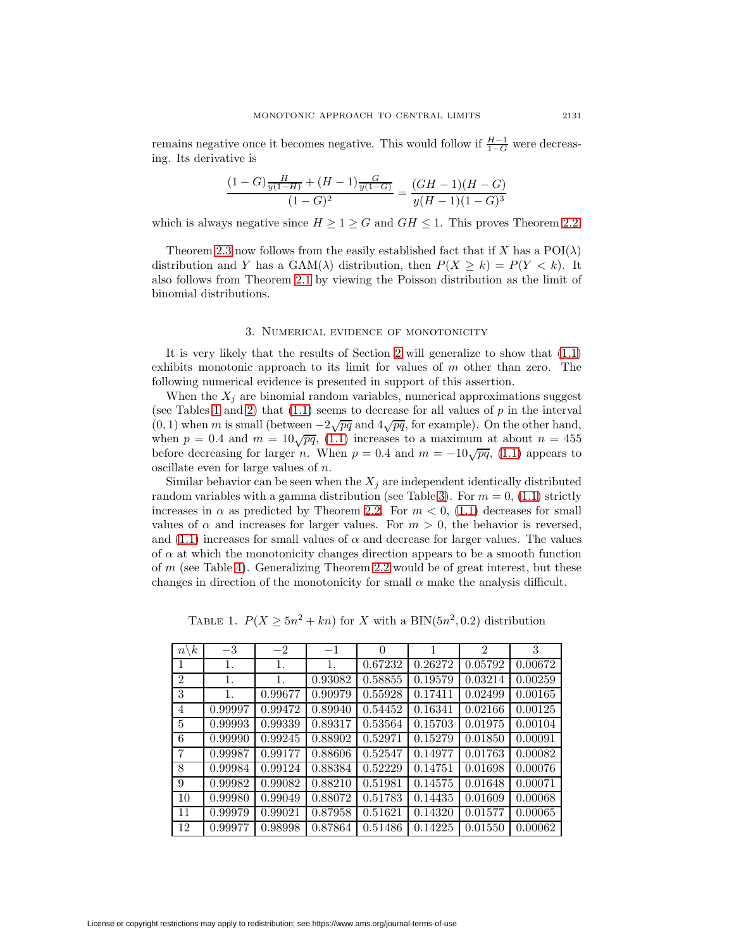remains negative once it becomes negative. This would follow if  $\frac{H-1}{1-G}$  were decreasing. Its derivative is

$$
\frac{(1-G)\frac{H}{y(1-H)} + (H-1)\frac{G}{y(1-G)}}{(1-G)^2} = \frac{(GH-1)(H-G)}{y(H-1)(1-G)^3}
$$

which is always negative since  $H \geq 1 \geq G$  and  $GH \leq 1$ . This proves Theorem [2.2.](#page-1-0)

Theorem [2.3](#page-1-1) now follows from the easily established fact that if X has a  $POI(\lambda)$ distribution and Y has a  $GAM(\lambda)$  distribution, then  $P(X > k) = P(Y < k)$ . It also follows from Theorem [2.1](#page-0-2) by viewing the Poisson distribution as the limit of binomial distributions.

### 3. Numerical evidence of monotonicity

<span id="page-4-0"></span>It is very likely that the results of Section [2](#page-0-1) will generalize to show that [\(1.1\)](#page-0-0) exhibits monotonic approach to its limit for values of  $m$  other than zero. The following numerical evidence is presented in support of this assertion.

When the  $X_i$  are binomial random variables, numerical approximations suggest (see Tables [1](#page-4-1) and [2\)](#page-5-0) that  $(1.1)$  seems to decrease for all values of p in the interval (0, 1) when m is small (between  $-2\sqrt{pq}$  and  $4\sqrt{pq}$ , for example). On the other hand, when  $p = 0.4$  and  $m = 10\sqrt{pq}$ , [\(1.1\)](#page-0-0) increases to a maximum at about  $n = 455$ before decreasing for larger n. When  $p = 0.4$  and  $m = -10\sqrt{pq}$ , [\(1.1\)](#page-0-0) appears to oscillate even for large values of n.

Similar behavior can be seen when the  $X_i$  are independent identically distributed random variables with a gamma distribution (see Table [3\)](#page-5-1). For  $m = 0$ , [\(1.1\)](#page-0-0) strictly increases in  $\alpha$  as predicted by Theorem [2.2.](#page-1-0) For  $m < 0$ , [\(1.1\)](#page-0-0) decreases for small values of  $\alpha$  and increases for larger values. For  $m > 0$ , the behavior is reversed, and  $(1.1)$  increases for small values of  $\alpha$  and decrease for larger values. The values of  $\alpha$  at which the monotonicity changes direction appears to be a smooth function of  $m$  (see Table [4\)](#page-5-2). Generalizing Theorem [2.2](#page-1-0) would be of great interest, but these changes in direction of the monotonicity for small  $\alpha$  make the analysis difficult.

TABLE 1.  $P(X \ge 5n^2 + kn)$  for X with a BIN(5n<sup>2</sup>, 0.2) distribution

<span id="page-4-1"></span>

| $\boldsymbol{k}$<br>$\boldsymbol{n}$ | $-3$    | $-2$    | $-1$    | $\Omega$ |         | $\mathfrak{D}$ | 3       |
|--------------------------------------|---------|---------|---------|----------|---------|----------------|---------|
|                                      | 1.      | 1.      | 1.      | 0.67232  | 0.26272 | 0.05792        | 0.00672 |
| $\overline{2}$                       | 1.      | 1.      | 0.93082 | 0.58855  | 0.19579 | 0.03214        | 0.00259 |
| 3                                    | 1.      | 0.99677 | 0.90979 | 0.55928  | 0.17411 | 0.02499        | 0.00165 |
| $\overline{4}$                       | 0.99997 | 0.99472 | 0.89940 | 0.54452  | 0.16341 | 0.02166        | 0.00125 |
| $\overline{5}$                       | 0.99993 | 0.99339 | 0.89317 | 0.53564  | 0.15703 | 0.01975        | 0.00104 |
| 6                                    | 0.99990 | 0.99245 | 0.88902 | 0.52971  | 0.15279 | 0.01850        | 0.00091 |
| $\overline{7}$                       | 0.99987 | 0.99177 | 0.88606 | 0.52547  | 0.14977 | 0.01763        | 0.00082 |
| 8                                    | 0.99984 | 0.99124 | 0.88384 | 0.52229  | 0.14751 | 0.01698        | 0.00076 |
| 9                                    | 0.99982 | 0.99082 | 0.88210 | 0.51981  | 0.14575 | 0.01648        | 0.00071 |
| 10                                   | 0.99980 | 0.99049 | 0.88072 | 0.51783  | 0.14435 | 0.01609        | 0.00068 |
| 11                                   | 0.99979 | 0.99021 | 0.87958 | 0.51621  | 0.14320 | 0.01577        | 0.00065 |
| 12                                   | 0.99977 | 0.98998 | 0.87864 | 0.51486  | 0.14225 | 0.01550        | 0.00062 |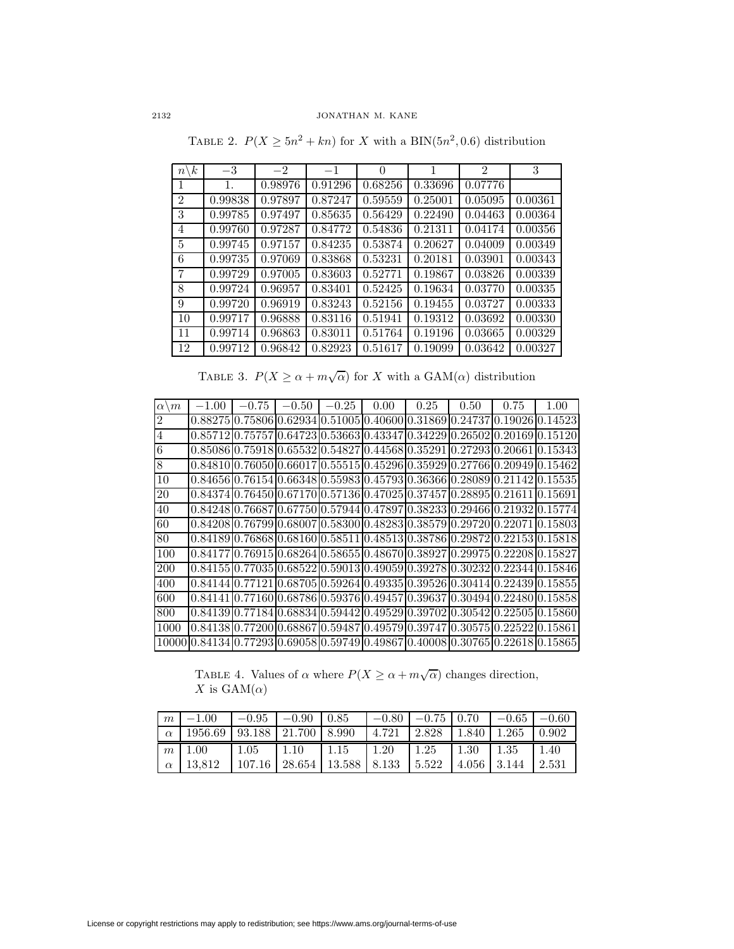<span id="page-5-0"></span>

| $\boldsymbol{k}$<br>$n^{\cdot}$ | $-3$    | $-2$                 | $-1$    | 0                    |                      | $\overline{2}$ | 3       |
|---------------------------------|---------|----------------------|---------|----------------------|----------------------|----------------|---------|
| 1                               | 1.      | 0.98976              | 0.91296 | 0.68256              | 0.33696              | 0.07776        |         |
| $\overline{2}$                  | 0.99838 | 0.97897              | 0.87247 | 0.59559              | 0.25001              | 0.05095        | 0.00361 |
| 3                               | 0.99785 | 0.97497              | 0.85635 | 0.56429              | 0.22490              | 0.04463        | 0.00364 |
| $\overline{4}$                  | 0.99760 | 0.97287              | 0.84772 | 0.54836              | 0.21311              | 0.04174        | 0.00356 |
| $\overline{5}$                  | 0.99745 | $\overline{0.97157}$ | 0.84235 | $\overline{0.53874}$ | $\overline{0.20627}$ | 0.04009        | 0.00349 |
| 6                               | 0.99735 | 0.97069              | 0.83868 | 0.53231              | 0.20181              | 0.03901        | 0.00343 |
| 7                               | 0.99729 | 0.97005              | 0.83603 | 0.52771              | $\overline{0.}19867$ | 0.03826        | 0.00339 |
| 8                               | 0.99724 | 0.96957              | 0.83401 | 0.52425              | 0.19634              | 0.03770        | 0.00335 |
| 9                               | 0.99720 | 0.96919              | 0.83243 | 0.52156              | 0.19455              | 0.03727        | 0.00333 |
| 10                              | 0.99717 | 0.96888              | 0.83116 | 0.51941              | 0.19312              | 0.03692        | 0.00330 |
| 11                              | 0.99714 | 0.96863              | 0.83011 | 0.51764              | 0.19196              | 0.03665        | 0.00329 |
| 12                              | 0.99712 | 0.96842              | 0.82923 | 0.51617              | 0.19099              | 0.03642        | 0.00327 |

TABLE 2.  $P(X \ge 5n^2 + kn)$  for X with a BIN(5n<sup>2</sup>,0.6) distribution

TABLE 3.  $P(X \ge \alpha + m\sqrt{\alpha})$  for X with a GAM( $\alpha$ ) distribution

<span id="page-5-1"></span>

| $\alpha$<br>$\boldsymbol{m}$ | $-1.00$                                                                                     | $-0.75$ | $-0.50$ | $-0.25$ | 0.00                                                                                        | 0.25 | 0.50 | 0.75 | 1.00                                                                        |
|------------------------------|---------------------------------------------------------------------------------------------|---------|---------|---------|---------------------------------------------------------------------------------------------|------|------|------|-----------------------------------------------------------------------------|
| $\overline{c}$               |                                                                                             |         |         |         |                                                                                             |      |      |      | $[0.8827510.7580610.6293410.5100510.4060010.3186910.2473710.1902610.14523]$ |
| $\overline{4}$               |                                                                                             |         |         |         | $[0.85712]0.75757]0.64723]0.53663]0.43347]0.34229]0.26502]0.20169]0.15120$                  |      |      |      |                                                                             |
| $6\phantom{.}6$              |                                                                                             |         |         |         | $[0.8508610.7591810.6553210.5482710.4456810.3529110.2729310.2066110.15343]$                 |      |      |      |                                                                             |
| 8                            |                                                                                             |         |         |         | $[0.84810]$ 0.76050 $[0.66017]$ 0.55515 $[0.45296]$ 0.35929 $[0.27766]$ 0.20949 $[0.15462]$ |      |      |      |                                                                             |
| 10                           |                                                                                             |         |         |         | $[0.84656]0.76154]0.66348]0.55983]0.45793]0.36366]0.28089]0.21142]0.15535$                  |      |      |      |                                                                             |
| 20                           |                                                                                             |         |         |         | $[0.84374]0.76450]0.67170]0.57136]0.47025]0.37457]0.28895]0.21611]0.15691$                  |      |      |      |                                                                             |
| 40                           |                                                                                             |         |         |         | 0.8424810.7668710.6775010.5794410.4789710.3823310.2946610.2193210.15774                     |      |      |      |                                                                             |
| 60                           |                                                                                             |         |         |         | $(0.8420810.7679910.6800710.5830010.4828310.3857910.2972010.2207110.15803$                  |      |      |      |                                                                             |
| 80                           |                                                                                             |         |         |         | $[0.84189]$ 0.76868 $[0.68160]$ 0.58511 $[0.48513]$ 0.38786 $[0.29872]$ 0.22153 $[0.15818]$ |      |      |      |                                                                             |
| 100                          |                                                                                             |         |         |         | $[0.84177]0.76915]0.68264]0.58655]0.48670]0.38927]0.29975]0.22208]0.15827$                  |      |      |      |                                                                             |
| 200                          |                                                                                             |         |         |         | $[0.84155]0.77035]0.68522]0.59013]0.49059]0.39278]0.30232]0.22344]0.15846$                  |      |      |      |                                                                             |
| 400                          |                                                                                             |         |         |         | $[0.84144]0.77121]0.68705[0.59264]0.49335[0.39526]0.30414[0.22439]0.15855$                  |      |      |      |                                                                             |
| 600                          | $[0.84141]$ 0.77160 $[0.68786]$ 0.59376 $[0.49457]$ 0.39637 $[0.30494]$ 0.22480 $[0.15858]$ |         |         |         |                                                                                             |      |      |      |                                                                             |
| 800                          |                                                                                             |         |         |         |                                                                                             |      |      |      | $[0.84139]0.77184]0.68834]0.59442]0.49529]0.39702]0.30542]0.22505]0.15860$  |
| 1000                         |                                                                                             |         |         |         | $[0.84138]0.77200]0.68867]0.59487]0.49579]0.39747]0.30575]0.22522]0.15861$                  |      |      |      |                                                                             |
| 10000                        |                                                                                             |         |         |         |                                                                                             |      |      |      | $0.84134 0.77293 0.69058 0.59749 0.49867 0.40008 0.30765 0.22618 0.15865 $  |

TABLE 4. Values of  $\alpha$  where  $P(X \ge \alpha + m\sqrt{\alpha})$  changes direction, X is  $\text{GAM}(\alpha)$ 

<span id="page-5-2"></span>

| m | $-1.00$                                                                              | $-0.95$ $-0.90$ 0.85                                                                      |  | $-0.80$   $-0.75$   0.70   $-0.65$   $-0.60$ |  |       |
|---|--------------------------------------------------------------------------------------|-------------------------------------------------------------------------------------------|--|----------------------------------------------|--|-------|
|   | $\alpha$   1956.69   93.188   21.700   8.990   4.721   2.828   1.840   1.265   0.902 |                                                                                           |  |                                              |  |       |
|   | $m\mid 1.00$                                                                         | $\vert 1.05 \vert 1.10 \vert 1.15 \vert 1.20 \vert 1.25 \vert 1.30 \vert 1.35 \vert 1.40$ |  |                                              |  |       |
|   | $\alpha$   13.812                                                                    | $107.16$   28.654   13.588   8.133   5.522   4.056   3.144                                |  |                                              |  | 2.531 |